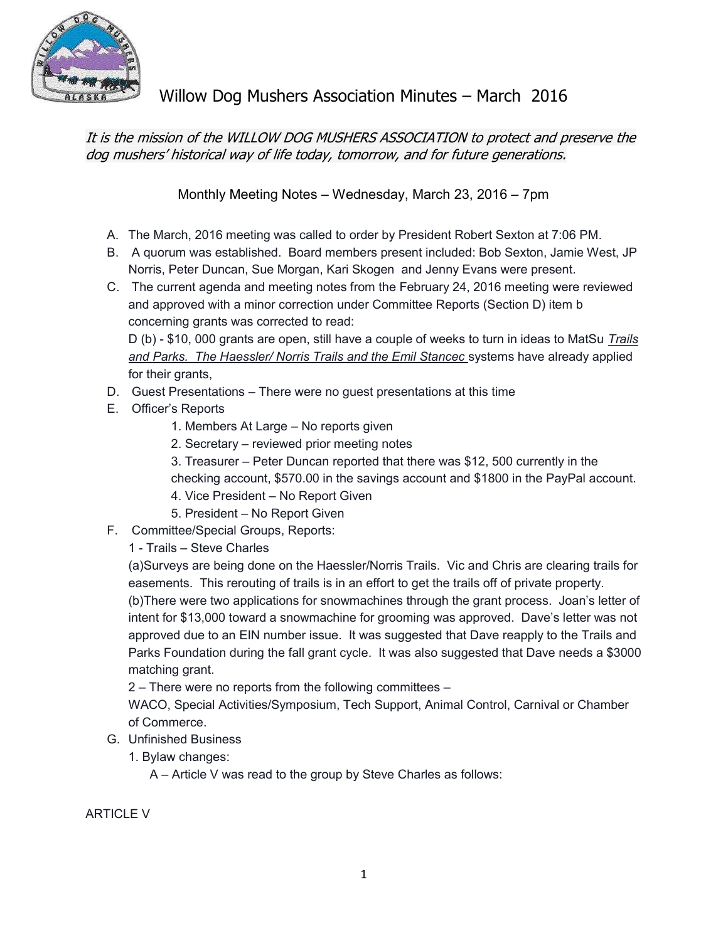

Willow Dog Mushers Association Minutes – March 2016

It is the mission of the WILLOW DOG MUSHERS ASSOCIATION to protect and preserve the dog mushers' historical way of life today, tomorrow, and for future generations.

Monthly Meeting Notes – Wednesday, March 23, 2016 – 7pm

- A. The March, 2016 meeting was called to order by President Robert Sexton at 7:06 PM.
- B. A quorum was established. Board members present included: Bob Sexton, Jamie West, JP Norris, Peter Duncan, Sue Morgan, Kari Skogen and Jenny Evans were present.
- C. The current agenda and meeting notes from the February 24, 2016 meeting were reviewed and approved with a minor correction under Committee Reports (Section D) item b concerning grants was corrected to read:

D (b) - \$10, 000 grants are open, still have a couple of weeks to turn in ideas to MatSu Trails and Parks. The Haessler/ Norris Trails and the Emil Stancec systems have already applied for their grants,

- D. Guest Presentations There were no guest presentations at this time
- E. Officer's Reports
	- 1. Members At Large No reports given
	- 2. Secretary reviewed prior meeting notes
	- 3. Treasurer Peter Duncan reported that there was \$12, 500 currently in the
	- checking account, \$570.00 in the savings account and \$1800 in the PayPal account.
	- 4. Vice President No Report Given
	- 5. President No Report Given
- F. Committee/Special Groups, Reports:

1 - Trails – Steve Charles

(a)Surveys are being done on the Haessler/Norris Trails. Vic and Chris are clearing trails for easements. This rerouting of trails is in an effort to get the trails off of private property.

(b)There were two applications for snowmachines through the grant process. Joan's letter of intent for \$13,000 toward a snowmachine for grooming was approved. Dave's letter was not approved due to an EIN number issue. It was suggested that Dave reapply to the Trails and Parks Foundation during the fall grant cycle. It was also suggested that Dave needs a \$3000 matching grant.

2 – There were no reports from the following committees –

WACO, Special Activities/Symposium, Tech Support, Animal Control, Carnival or Chamber of Commerce.

- G. Unfinished Business
	- 1. Bylaw changes:

A – Article V was read to the group by Steve Charles as follows:

ARTICLE V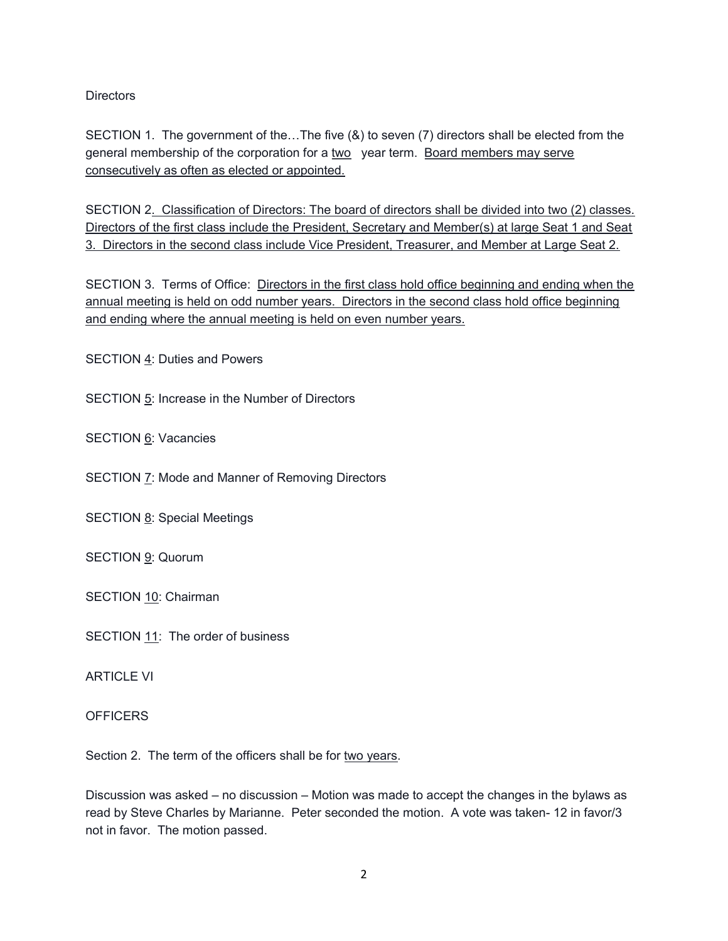**Directors** 

SECTION 1. The government of the…The five (&) to seven (7) directors shall be elected from the general membership of the corporation for a two year term. Board members may serve consecutively as often as elected or appointed.

SECTION 2. Classification of Directors: The board of directors shall be divided into two (2) classes. Directors of the first class include the President, Secretary and Member(s) at large Seat 1 and Seat 3. Directors in the second class include Vice President, Treasurer, and Member at Large Seat 2.

SECTION 3. Terms of Office: Directors in the first class hold office beginning and ending when the annual meeting is held on odd number years. Directors in the second class hold office beginning and ending where the annual meeting is held on even number years.

SECTION 4: Duties and Powers

SECTION 5: Increase in the Number of Directors

SECTION 6: Vacancies

SECTION 7: Mode and Manner of Removing Directors

SECTION 8: Special Meetings

SECTION 9: Quorum

SECTION 10: Chairman

SECTION 11: The order of business

ARTICLE VI

**OFFICERS** 

Section 2. The term of the officers shall be for two years.

Discussion was asked – no discussion – Motion was made to accept the changes in the bylaws as read by Steve Charles by Marianne. Peter seconded the motion. A vote was taken- 12 in favor/3 not in favor. The motion passed.